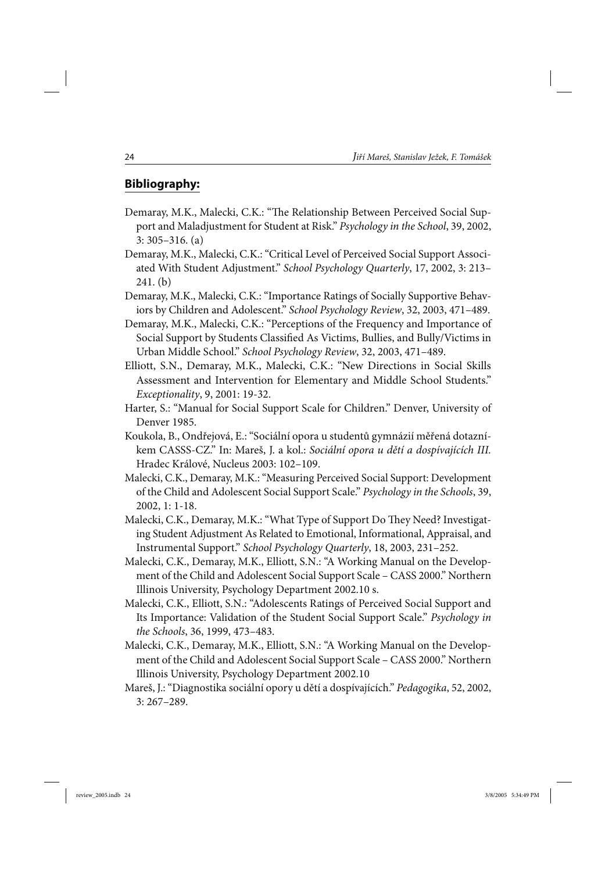## **Bibliography:**

- Demaray, M.K., Malecki, C.K.: "The Relationship Between Perceived Social Support and Maladjustment for Student at Risk." *Psychology in the School*, 39, 2002, 3: 305–316. (a)
- Demaray, M.K., Malecki, C.K.: "Critical Level of Perceived Social Support Associated With Student Adjustment." *School Psychology Quarterly*, 17, 2002, 3: 213– 241. (b)
- Demaray, M.K., Malecki, C.K.: "Importance Ratings of Socially Supportive Behaviors by Children and Adolescent." *School Psychology Review*, 32, 2003, 471–489.
- Demaray, M.K., Malecki, C.K.: "Perceptions of the Frequency and Importance of Social Support by Students Classified As Victims, Bullies, and Bully/Victims in Urban Middle School." *School Psychology Review*, 32, 2003, 471–489.
- Elliott, S.N., Demaray, M.K., Malecki, C.K.: "New Directions in Social Skills Assessment and Intervention for Elementary and Middle School Students." *Exceptionality*, 9, 2001: 19-32.
- Harter, S.: "Manual for Social Support Scale for Children." Denver, University of Denver 1985.
- Koukola, B., Ondřejová, E.: "Sociální opora u studentů gymnázií měřená dotazníkem CASSS-CZ." In: Mareš, J. a kol.: *Sociální opora u dětí a dospívajících III.*  Hradec Králové, Nucleus 2003: 102–109.
- Malecki, C.K., Demaray, M.K.: "Measuring Perceived Social Support: Development of the Child and Adolescent Social Support Scale." *Psychology in the Schools*, 39, 2002, 1: 1-18.
- Malecki, C.K., Demaray, M.K.: "What Type of Support Do They Need? Investigating Student Adjustment As Related to Emotional, Informational, Appraisal, and Instrumental Support." *School Psychology Quarterly*, 18, 2003, 231–252.
- Malecki, C.K., Demaray, M.K., Elliott, S.N.: "A Working Manual on the Development of the Child and Adolescent Social Support Scale – CASS 2000." Northern Illinois University, Psychology Department 2002.10 s.
- Malecki, C.K., Elliott, S.N.: "Adolescents Ratings of Perceived Social Support and Its Importance: Validation of the Student Social Support Scale." *Psychology in the Schools*, 36, 1999, 473–483.
- Malecki, C.K., Demaray, M.K., Elliott, S.N.: "A Working Manual on the Development of the Child and Adolescent Social Support Scale – CASS 2000." Northern Illinois University, Psychology Department 2002.10
- Mareš, J.: "Diagnostika sociální opory u dětí a dospívajících." *Pedagogika*, 52, 2002, 3: 267–289.